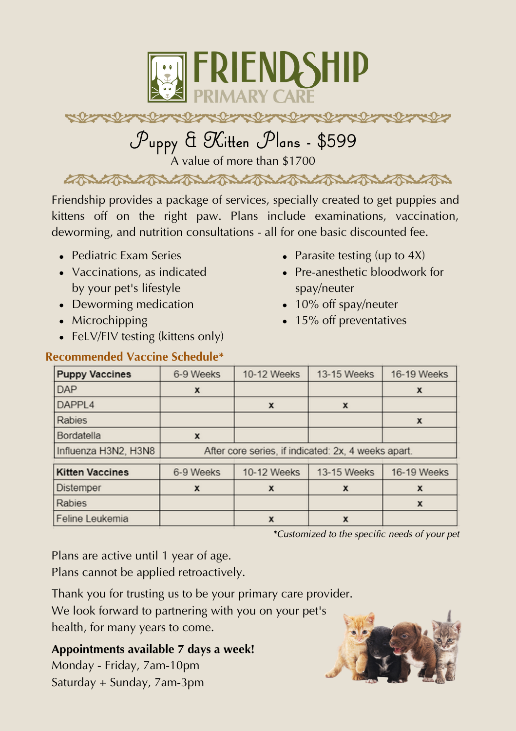

## 

# **Puppy & Kitten Plans - \$599**

A value of more than \$1700

CANCAN CAN CAN CAN CAN CAN CAN CAN CAN

Friendship provides a package of services, specially created to get puppies and kittens off on the right paw. Plans include examinations, vaccination, deworming, and nutrition consultations - all for one basic discounted fee.

- Pediatric Exam Series
- Vaccinations, as indicated by your pet's lifestyle
- Deworming medication
- Microchipping
- FeLV/FIV testing (kittens only)

#### • Parasite testing (up to  $4X$ )

- Pre-anesthetic bloodwork for spay/neuter
- 10% off spay/neuter
- 15% off preventatives

| <b>Recommended Vaccine Schedule*</b> |  |  |
|--------------------------------------|--|--|
|                                      |  |  |

| <b>Puppy Vaccines</b>  | 6-9 Weeks                                           | 10-12 Weeks | 13-15 Weeks | 16-19 Weeks |  |  |
|------------------------|-----------------------------------------------------|-------------|-------------|-------------|--|--|
| <b>DAP</b>             | X                                                   |             |             | x           |  |  |
| DAPPL4                 |                                                     | x           | x           |             |  |  |
| Rabies                 |                                                     |             |             | x           |  |  |
| Bordatella             | x                                                   |             |             |             |  |  |
| Influenza H3N2, H3N8   | After core series, if indicated: 2x, 4 weeks apart. |             |             |             |  |  |
| <b>Kitten Vaccines</b> | 6-9 Weeks                                           | 10-12 Weeks | 13-15 Weeks | 16-19 Weeks |  |  |
| Distemper              | X                                                   | x           | x           | x           |  |  |
| Rabies                 |                                                     |             |             | x           |  |  |
| Feline Leukemia        |                                                     | x           | x           |             |  |  |

\*Customized to the specific needs of your pet

Plans are active until 1 year of age.

Plans cannot be applied retroactively.

Thank you for trusting us to be your primary care provider.

We look forward to partnering with you on your pet's health, for many years to come.

**Appointments available 7 days a week!** Monday - Friday, 7am-10pm

Saturday + Sunday, 7am-3pm